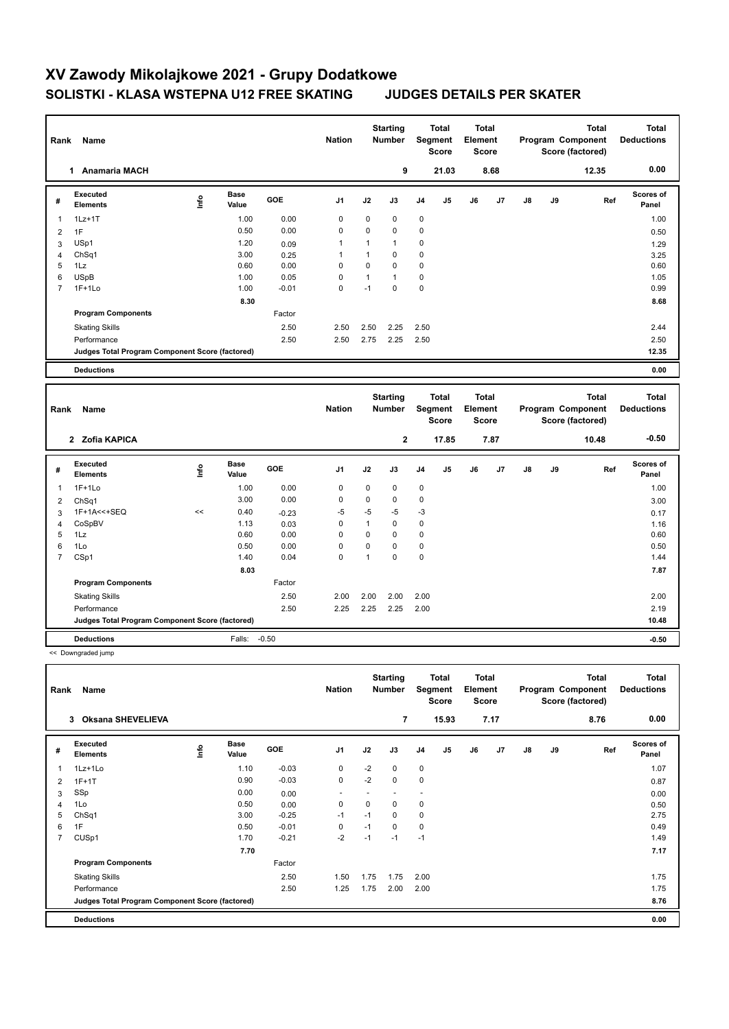# **XV Zawody Mikolajkowe 2021 - Grupy Dodatkowe SOLISTKI - KLASA WSTEPNA U12 FREE SKATING JUDGES DETAILS PER SKATER**

| 9<br>1 Anamaria MACH<br>21.03<br>8.68<br>12.35<br><b>Executed</b><br><b>Base</b><br>lnfo<br>GOE<br>J <sub>1</sub><br>J2<br>J5<br>J6<br>J7<br>J8<br>J9<br>Ref<br>J3<br>J4<br>#<br><b>Elements</b><br>Value<br>$1Lz+1T$<br>1.00<br>0.00<br>$\mathbf 0$<br>0<br>$\mathbf 0$<br>$\mathbf 0$<br>1<br>0<br>0<br>$\mathbf 0$<br>$\mathbf 0$<br>0.50<br>0.00<br>1F<br>$\overline{2}$<br>USp1<br>1.20<br>1<br>$\mathbf{1}$<br>$\mathbf{1}$<br>$\mathbf 0$<br>3<br>0.09<br>$\mathbf 0$<br>ChSq1<br>3.00<br>$\mathbf{1}$<br>$\mathbf 0$<br>0.25<br>1<br>$\overline{4}$<br>5<br>1Lz<br>0.60<br>0.00<br>$\Omega$<br>$\Omega$<br>$\Omega$<br>$\mathbf 0$<br>6<br><b>USpB</b><br>1.00<br>0.05<br>0<br>$\mathbf{1}$<br>$\mathbf{1}$<br>0<br>$\overline{7}$<br>$1F+1Lo$<br>$\Omega$<br>$-1$<br>$\Omega$<br>$\mathbf 0$<br>1.00<br>$-0.01$<br>8.30<br><b>Program Components</b><br>Factor<br>2.50<br>2.50<br>2.50<br>2.25<br>2.50<br><b>Skating Skills</b><br>Performance<br>2.50<br>2.50<br>2.75<br>2.25<br>2.50<br>Judges Total Program Component Score (factored)<br><b>Deductions</b><br><b>Total</b><br><b>Total</b><br><b>Starting</b><br>Total | 0.00<br>Scores of<br>Panel<br>1.00<br>0.50<br>1.29<br>3.25<br>0.60<br>1.05<br>0.99<br>8.68 |
|-------------------------------------------------------------------------------------------------------------------------------------------------------------------------------------------------------------------------------------------------------------------------------------------------------------------------------------------------------------------------------------------------------------------------------------------------------------------------------------------------------------------------------------------------------------------------------------------------------------------------------------------------------------------------------------------------------------------------------------------------------------------------------------------------------------------------------------------------------------------------------------------------------------------------------------------------------------------------------------------------------------------------------------------------------------------------------------------------------------------------------------|--------------------------------------------------------------------------------------------|
|                                                                                                                                                                                                                                                                                                                                                                                                                                                                                                                                                                                                                                                                                                                                                                                                                                                                                                                                                                                                                                                                                                                                     |                                                                                            |
|                                                                                                                                                                                                                                                                                                                                                                                                                                                                                                                                                                                                                                                                                                                                                                                                                                                                                                                                                                                                                                                                                                                                     |                                                                                            |
|                                                                                                                                                                                                                                                                                                                                                                                                                                                                                                                                                                                                                                                                                                                                                                                                                                                                                                                                                                                                                                                                                                                                     |                                                                                            |
|                                                                                                                                                                                                                                                                                                                                                                                                                                                                                                                                                                                                                                                                                                                                                                                                                                                                                                                                                                                                                                                                                                                                     |                                                                                            |
|                                                                                                                                                                                                                                                                                                                                                                                                                                                                                                                                                                                                                                                                                                                                                                                                                                                                                                                                                                                                                                                                                                                                     |                                                                                            |
|                                                                                                                                                                                                                                                                                                                                                                                                                                                                                                                                                                                                                                                                                                                                                                                                                                                                                                                                                                                                                                                                                                                                     |                                                                                            |
|                                                                                                                                                                                                                                                                                                                                                                                                                                                                                                                                                                                                                                                                                                                                                                                                                                                                                                                                                                                                                                                                                                                                     |                                                                                            |
|                                                                                                                                                                                                                                                                                                                                                                                                                                                                                                                                                                                                                                                                                                                                                                                                                                                                                                                                                                                                                                                                                                                                     |                                                                                            |
|                                                                                                                                                                                                                                                                                                                                                                                                                                                                                                                                                                                                                                                                                                                                                                                                                                                                                                                                                                                                                                                                                                                                     |                                                                                            |
|                                                                                                                                                                                                                                                                                                                                                                                                                                                                                                                                                                                                                                                                                                                                                                                                                                                                                                                                                                                                                                                                                                                                     |                                                                                            |
|                                                                                                                                                                                                                                                                                                                                                                                                                                                                                                                                                                                                                                                                                                                                                                                                                                                                                                                                                                                                                                                                                                                                     |                                                                                            |
|                                                                                                                                                                                                                                                                                                                                                                                                                                                                                                                                                                                                                                                                                                                                                                                                                                                                                                                                                                                                                                                                                                                                     | 2.44                                                                                       |
|                                                                                                                                                                                                                                                                                                                                                                                                                                                                                                                                                                                                                                                                                                                                                                                                                                                                                                                                                                                                                                                                                                                                     | 2.50                                                                                       |
|                                                                                                                                                                                                                                                                                                                                                                                                                                                                                                                                                                                                                                                                                                                                                                                                                                                                                                                                                                                                                                                                                                                                     | 12.35                                                                                      |
|                                                                                                                                                                                                                                                                                                                                                                                                                                                                                                                                                                                                                                                                                                                                                                                                                                                                                                                                                                                                                                                                                                                                     | 0.00                                                                                       |
| <b>Nation</b><br>Segment<br>Program Component<br>Element<br><b>Number</b><br>Name<br>Rank<br><b>Score</b><br><b>Score</b><br>Score (factored)                                                                                                                                                                                                                                                                                                                                                                                                                                                                                                                                                                                                                                                                                                                                                                                                                                                                                                                                                                                       | <b>Total</b><br><b>Deductions</b>                                                          |
| 2 Zofia KAPICA<br>$\mathbf{2}$<br>7.87<br>17.85<br>10.48                                                                                                                                                                                                                                                                                                                                                                                                                                                                                                                                                                                                                                                                                                                                                                                                                                                                                                                                                                                                                                                                            | $-0.50$                                                                                    |
| Executed<br><b>Base</b><br>lnfo<br>GOE<br>J2<br>J7<br>J9<br>Ref<br>J <sub>1</sub><br>J3<br>J4<br>J5<br>J6<br>J8<br>#<br><b>Elements</b><br>Value                                                                                                                                                                                                                                                                                                                                                                                                                                                                                                                                                                                                                                                                                                                                                                                                                                                                                                                                                                                    | Scores of<br>Panel                                                                         |
| 0<br>$1F+1Lo$<br>1.00<br>0.00<br>0<br>$\mathbf 0$<br>0<br>$\mathbf{1}$                                                                                                                                                                                                                                                                                                                                                                                                                                                                                                                                                                                                                                                                                                                                                                                                                                                                                                                                                                                                                                                              | 1.00                                                                                       |
| 3.00<br>0.00<br>$\mathbf 0$<br>0<br>$\mathbf 0$<br>$\mathbf 0$<br>2<br>Ch <sub>Sq1</sub>                                                                                                                                                                                                                                                                                                                                                                                                                                                                                                                                                                                                                                                                                                                                                                                                                                                                                                                                                                                                                                            | 3.00                                                                                       |
| $-5$<br>$-5$<br>1F+1A<<+SEQ<br><<<br>0.40<br>$-5$<br>$-3$<br>$-0.23$<br>3                                                                                                                                                                                                                                                                                                                                                                                                                                                                                                                                                                                                                                                                                                                                                                                                                                                                                                                                                                                                                                                           | 0.17                                                                                       |
| $\overline{0}$<br>$\mathbf{1}$<br>$\Omega$<br>$\Omega$<br>CoSpBV<br>1.13<br>0.03<br>$\overline{4}$                                                                                                                                                                                                                                                                                                                                                                                                                                                                                                                                                                                                                                                                                                                                                                                                                                                                                                                                                                                                                                  | 1.16                                                                                       |
| 0<br>$\mathbf 0$<br>5<br>1Lz<br>0.60<br>0.00<br>0<br>$\mathbf 0$                                                                                                                                                                                                                                                                                                                                                                                                                                                                                                                                                                                                                                                                                                                                                                                                                                                                                                                                                                                                                                                                    | 0.60                                                                                       |
| 0.50<br>0.00<br>0<br>0<br>$\mathbf 0$<br>$\mathbf 0$<br>6<br>1Lo                                                                                                                                                                                                                                                                                                                                                                                                                                                                                                                                                                                                                                                                                                                                                                                                                                                                                                                                                                                                                                                                    | 0.50                                                                                       |
| 0<br>$\mathbf{1}$<br>$\mathbf 0$<br>$\mathbf 0$<br>$\overline{7}$<br>CSp1<br>1.40<br>0.04                                                                                                                                                                                                                                                                                                                                                                                                                                                                                                                                                                                                                                                                                                                                                                                                                                                                                                                                                                                                                                           | 1.44                                                                                       |
| 8.03                                                                                                                                                                                                                                                                                                                                                                                                                                                                                                                                                                                                                                                                                                                                                                                                                                                                                                                                                                                                                                                                                                                                |                                                                                            |
| Factor<br><b>Program Components</b>                                                                                                                                                                                                                                                                                                                                                                                                                                                                                                                                                                                                                                                                                                                                                                                                                                                                                                                                                                                                                                                                                                 | 7.87                                                                                       |
|                                                                                                                                                                                                                                                                                                                                                                                                                                                                                                                                                                                                                                                                                                                                                                                                                                                                                                                                                                                                                                                                                                                                     |                                                                                            |
| 2.50<br><b>Skating Skills</b><br>2.00<br>2.00<br>2.00<br>2.00                                                                                                                                                                                                                                                                                                                                                                                                                                                                                                                                                                                                                                                                                                                                                                                                                                                                                                                                                                                                                                                                       | 2.00                                                                                       |
| 2.50<br>Performance<br>2.25<br>2.25<br>2.25<br>2.00                                                                                                                                                                                                                                                                                                                                                                                                                                                                                                                                                                                                                                                                                                                                                                                                                                                                                                                                                                                                                                                                                 | 2.19                                                                                       |
| Judges Total Program Component Score (factored)                                                                                                                                                                                                                                                                                                                                                                                                                                                                                                                                                                                                                                                                                                                                                                                                                                                                                                                                                                                                                                                                                     | 10.48                                                                                      |

<< Downgraded jump

| Rank           | Name                                            |    |                      |            | <b>Nation</b>            |          | <b>Starting</b><br><b>Number</b> | Segment        | <b>Total</b><br>Score | <b>Total</b><br>Element<br><b>Score</b> |      |               |    | <b>Total</b><br>Program Component<br>Score (factored) | Total<br><b>Deductions</b> |
|----------------|-------------------------------------------------|----|----------------------|------------|--------------------------|----------|----------------------------------|----------------|-----------------------|-----------------------------------------|------|---------------|----|-------------------------------------------------------|----------------------------|
|                | <b>Oksana SHEVELIEVA</b><br>3                   |    |                      |            |                          |          | 7                                |                | 15.93                 |                                         | 7.17 |               |    | 8.76                                                  | 0.00                       |
| #              | Executed<br><b>Elements</b>                     | ١i | <b>Base</b><br>Value | <b>GOE</b> | J <sub>1</sub>           | J2       | J3                               | J <sub>4</sub> | J5                    | J6                                      | J7   | $\mathsf{J}8$ | J9 | Ref                                                   | Scores of<br>Panel         |
| $\mathbf{1}$   | 1Lz+1Lo                                         |    | 1.10                 | $-0.03$    | $\mathbf 0$              | $-2$     | 0                                | $\mathbf 0$    |                       |                                         |      |               |    |                                                       | 1.07                       |
| 2              | $1F+1T$                                         |    | 0.90                 | $-0.03$    | $\mathbf 0$              | $-2$     | 0                                | $\pmb{0}$      |                       |                                         |      |               |    |                                                       | 0.87                       |
| 3              | SSp                                             |    | 0.00                 | 0.00       | $\overline{\phantom{a}}$ |          |                                  | ٠              |                       |                                         |      |               |    |                                                       | 0.00                       |
| $\overline{4}$ | 1Lo                                             |    | 0.50                 | 0.00       | $\mathbf 0$              | $\Omega$ | $\Omega$                         | $\mathbf 0$    |                       |                                         |      |               |    |                                                       | 0.50                       |
| 5              | ChSq1                                           |    | 3.00                 | $-0.25$    | $-1$                     | $-1$     | 0                                | 0              |                       |                                         |      |               |    |                                                       | 2.75                       |
| 6              | 1F                                              |    | 0.50                 | $-0.01$    | 0                        | $-1$     | $\Omega$                         | $\mathbf 0$    |                       |                                         |      |               |    |                                                       | 0.49                       |
| $\overline{7}$ | CUS <sub>p1</sub>                               |    | 1.70                 | $-0.21$    | $-2$                     | $-1$     | $-1$                             | $-1$           |                       |                                         |      |               |    |                                                       | 1.49                       |
|                |                                                 |    | 7.70                 |            |                          |          |                                  |                |                       |                                         |      |               |    |                                                       | 7.17                       |
|                | <b>Program Components</b>                       |    |                      | Factor     |                          |          |                                  |                |                       |                                         |      |               |    |                                                       |                            |
|                | <b>Skating Skills</b>                           |    |                      | 2.50       | 1.50                     | 1.75     | 1.75                             | 2.00           |                       |                                         |      |               |    |                                                       | 1.75                       |
|                | Performance                                     |    |                      | 2.50       | 1.25                     | 1.75     | 2.00                             | 2.00           |                       |                                         |      |               |    |                                                       | 1.75                       |
|                | Judges Total Program Component Score (factored) |    |                      |            |                          |          |                                  |                |                       |                                         |      |               |    |                                                       | 8.76                       |
|                | <b>Deductions</b>                               |    |                      |            |                          |          |                                  |                |                       |                                         |      |               |    |                                                       | 0.00                       |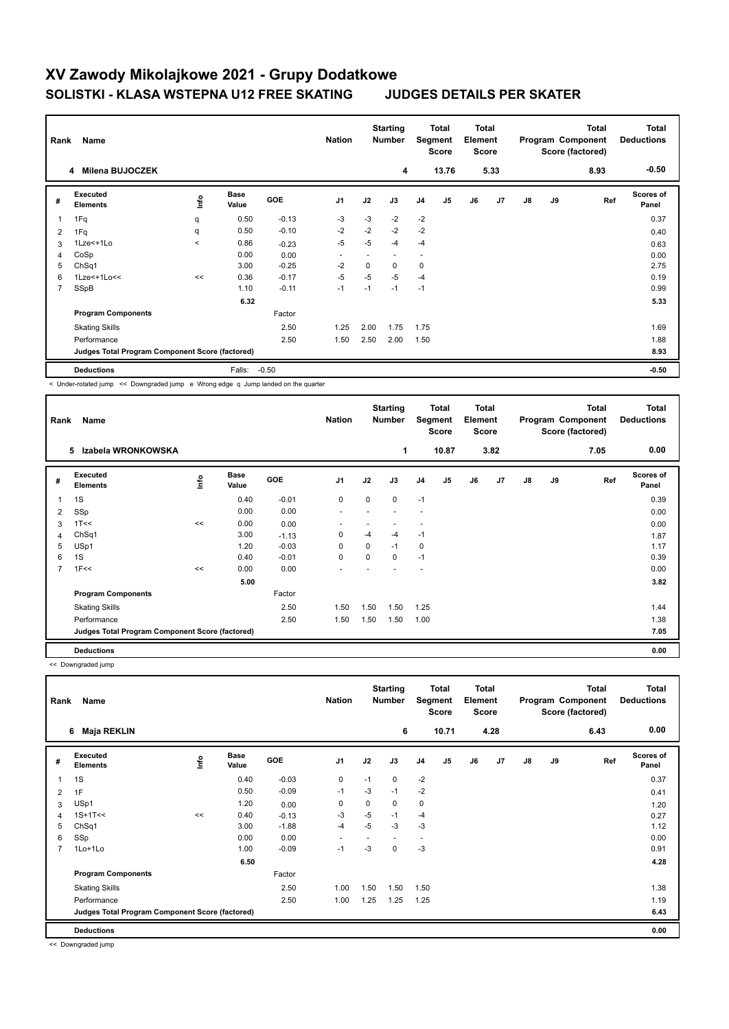## **XV Zawody Mikolajkowe 2021 - Grupy Dodatkowe SOLISTKI - KLASA WSTEPNA U12 FREE SKATING JUDGES DETAILS PER SKATER**

## **Starting Total Total Total Total Rank Name Nation Nation Element Segment Program Component Deductions Score Score Score (factored) 4 Milena BUJOCZEK 4 13.76 5.33 8.93 -0.50 Executed Base Scores of #**  1Fq q 0.37 **Info Ref Value GOE J1 J2 J3 J4 J5 J6 J7 J8 J9 Elements Panel** 1 1 Fq q 0.50 -0.13 -3 -3 -2 -2 2 1Fq q 0.50 -0.10 -2 -2 -2 -2 0.40 3 1Lze<+1Lo < 0.86 -0.23 -5 -5 -4 -4 0.63 4 CoSp 0.00 0.00 - - - - 0.00 5 ChSq1 3.00 -0.25 -2 0 0 0 2.75 6 1Lze<+1Lo<< << 0.36 -0.17 -5 -5 -5 -4 0.19 7 SSpB 1.10 -0.11 -1 -1 -1 -1 0.99  **6.32 5.33 Program Components**  Factor Skating Skills 1.25 2.00 1.75 1.75 2.50 1.69 Performance 2.50 2.50 1.50 2.50 2.00 1.50 2.50 2.00 1.50 2.50 2.00 1.88 **Judges Total Program Component Score (factored) 8.93 Deductions** Falls: -0.50 **-0.50**

< Under-rotated jump << Downgraded jump e Wrong edge q Jump landed on the quarter

| Rank | Name                                            |      |                      |            | <b>Nation</b>  |          | <b>Starting</b><br><b>Number</b> | Segment        | Total<br><b>Score</b> | <b>Total</b><br>Element<br><b>Score</b> |      |               |    | <b>Total</b><br>Program Component<br>Score (factored) | <b>Total</b><br><b>Deductions</b> |
|------|-------------------------------------------------|------|----------------------|------------|----------------|----------|----------------------------------|----------------|-----------------------|-----------------------------------------|------|---------------|----|-------------------------------------------------------|-----------------------------------|
|      | Izabela WRONKOWSKA<br>5                         |      |                      |            |                |          | 1                                |                | 10.87                 |                                         | 3.82 |               |    | 7.05                                                  | 0.00                              |
| #    | Executed<br><b>Elements</b>                     | ١nfo | <b>Base</b><br>Value | <b>GOE</b> | J <sub>1</sub> | J2       | J3                               | J <sub>4</sub> | J <sub>5</sub>        | J6                                      | J7   | $\mathsf{J}8$ | J9 | Ref                                                   | Scores of<br>Panel                |
| 1    | 1S                                              |      | 0.40                 | $-0.01$    | 0              | 0        | 0                                | $-1$           |                       |                                         |      |               |    |                                                       | 0.39                              |
| 2    | SSp                                             |      | 0.00                 | 0.00       | ٠              |          |                                  | ٠              |                       |                                         |      |               |    |                                                       | 0.00                              |
| 3    | 1T<<                                            | <<   | 0.00                 | 0.00       | ۰              |          |                                  |                |                       |                                         |      |               |    |                                                       | 0.00                              |
| 4    | ChSq1                                           |      | 3.00                 | $-1.13$    | 0              | $-4$     | $-4$                             | $-1$           |                       |                                         |      |               |    |                                                       | 1.87                              |
| 5    | USp1                                            |      | 1.20                 | $-0.03$    | 0              | 0        | $-1$                             | $\mathbf 0$    |                       |                                         |      |               |    |                                                       | 1.17                              |
| 6    | 1S                                              |      | 0.40                 | $-0.01$    | $\mathbf 0$    | $\Omega$ | 0                                | $-1$           |                       |                                         |      |               |    |                                                       | 0.39                              |
| 7    | 1F<<                                            | <<   | 0.00                 | 0.00       | ٠              |          |                                  |                |                       |                                         |      |               |    |                                                       | 0.00                              |
|      |                                                 |      | 5.00                 |            |                |          |                                  |                |                       |                                         |      |               |    |                                                       | 3.82                              |
|      | <b>Program Components</b>                       |      |                      | Factor     |                |          |                                  |                |                       |                                         |      |               |    |                                                       |                                   |
|      | <b>Skating Skills</b>                           |      |                      | 2.50       | 1.50           | 1.50     | 1.50                             | 1.25           |                       |                                         |      |               |    |                                                       | 1.44                              |
|      | Performance                                     |      |                      | 2.50       | 1.50           | 1.50     | 1.50                             | 1.00           |                       |                                         |      |               |    |                                                       | 1.38                              |
|      | Judges Total Program Component Score (factored) |      |                      |            |                |          |                                  |                |                       |                                         |      |               |    |                                                       | 7.05                              |
|      | <b>Deductions</b>                               |      |                      |            |                |          |                                  |                |                       |                                         |      |               |    |                                                       | 0.00                              |

<< Downgraded jump

| Rank           | Name                                            |    |                      |            | <b>Nation</b>  |      | <b>Starting</b><br><b>Number</b> | Segment                  | Total<br><b>Score</b> | <b>Total</b><br>Element<br><b>Score</b> |      |    |    | <b>Total</b><br>Program Component<br>Score (factored) | Total<br><b>Deductions</b> |
|----------------|-------------------------------------------------|----|----------------------|------------|----------------|------|----------------------------------|--------------------------|-----------------------|-----------------------------------------|------|----|----|-------------------------------------------------------|----------------------------|
|                | Maja REKLIN<br>6                                |    |                      |            |                |      | 6                                |                          | 10.71                 |                                         | 4.28 |    |    | 6.43                                                  | 0.00                       |
| #              | Executed<br><b>Elements</b>                     | ۴  | <b>Base</b><br>Value | <b>GOE</b> | J <sub>1</sub> | J2   | J3                               | J <sub>4</sub>           | J <sub>5</sub>        | J6                                      | J7   | J8 | J9 | Ref                                                   | Scores of<br>Panel         |
| 1              | 1S                                              |    | 0.40                 | $-0.03$    | $\mathbf 0$    | $-1$ | 0                                | $-2$                     |                       |                                         |      |    |    |                                                       | 0.37                       |
| 2              | 1F                                              |    | 0.50                 | $-0.09$    | $-1$           | $-3$ | $-1$                             | $-2$                     |                       |                                         |      |    |    |                                                       | 0.41                       |
| 3              | USp1                                            |    | 1.20                 | 0.00       | 0              | 0    | 0                                | $\mathbf 0$              |                       |                                         |      |    |    |                                                       | 1.20                       |
| 4              | $1S+1T<<$                                       | << | 0.40                 | $-0.13$    | -3             | $-5$ | $-1$                             | $-4$                     |                       |                                         |      |    |    |                                                       | 0.27                       |
| 5              | ChSq1                                           |    | 3.00                 | $-1.88$    | $-4$           | $-5$ | $-3$                             | $-3$                     |                       |                                         |      |    |    |                                                       | 1.12                       |
| 6              | SSp                                             |    | 0.00                 | 0.00       | ٠              |      |                                  | $\overline{\phantom{0}}$ |                       |                                         |      |    |    |                                                       | 0.00                       |
| $\overline{7}$ | 1Lo+1Lo                                         |    | 1.00                 | $-0.09$    | $-1$           | -3   | 0                                | $-3$                     |                       |                                         |      |    |    |                                                       | 0.91                       |
|                |                                                 |    | 6.50                 |            |                |      |                                  |                          |                       |                                         |      |    |    |                                                       | 4.28                       |
|                | <b>Program Components</b>                       |    |                      | Factor     |                |      |                                  |                          |                       |                                         |      |    |    |                                                       |                            |
|                | <b>Skating Skills</b>                           |    |                      | 2.50       | 1.00           | 1.50 | 1.50                             | 1.50                     |                       |                                         |      |    |    |                                                       | 1.38                       |
|                | Performance                                     |    |                      | 2.50       | 1.00           | 1.25 | 1.25                             | 1.25                     |                       |                                         |      |    |    |                                                       | 1.19                       |
|                | Judges Total Program Component Score (factored) |    |                      |            |                |      |                                  |                          |                       |                                         |      |    |    |                                                       | 6.43                       |
|                | <b>Deductions</b>                               |    |                      |            |                |      |                                  |                          |                       |                                         |      |    |    |                                                       | 0.00                       |

<< Downgraded jump